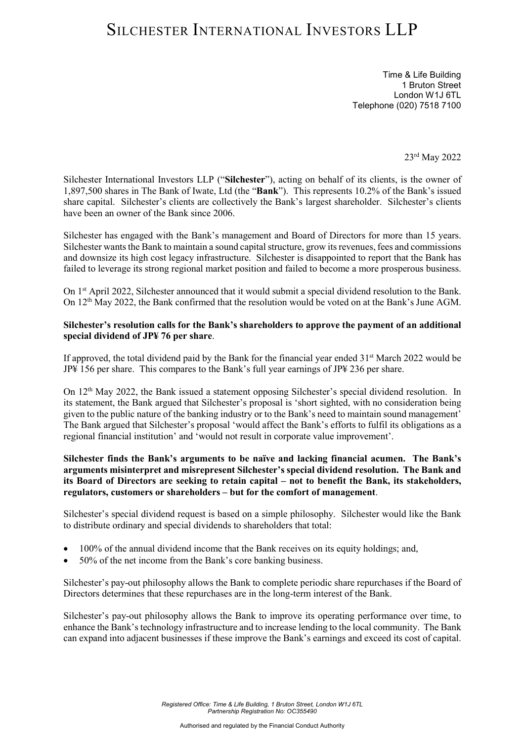## SILCHESTER INTERNATIONAL INVESTORS LLP

Time & Life Building 1 Bruton Street London W1J 6TL Telephone (020) 7518 7100

23rd May 2022

Silchester International Investors LLP ("**Silchester**"), acting on behalf of its clients, is the owner of 1,897,500 shares in The Bank of Iwate, Ltd (the "**Bank**"). This represents 10.2% of the Bank's issued share capital. Silchester's clients are collectively the Bank's largest shareholder. Silchester's clients have been an owner of the Bank since 2006.

Silchester has engaged with the Bank's management and Board of Directors for more than 15 years. Silchester wants the Bank to maintain a sound capital structure, grow its revenues, fees and commissions and downsize its high cost legacy infrastructure. Silchester is disappointed to report that the Bank has failed to leverage its strong regional market position and failed to become a more prosperous business.

On 1<sup>st</sup> April 2022, Silchester announced that it would submit a special dividend resolution to the Bank. On 12<sup>th</sup> May 2022, the Bank confirmed that the resolution would be voted on at the Bank's June AGM.

#### **Silchester's resolution calls for the Bank's shareholders to approve the payment of an additional special dividend of JP¥ 76 per share**.

If approved, the total dividend paid by the Bank for the financial year ended  $31<sup>st</sup>$  March 2022 would be JP¥ 156 per share. This compares to the Bank's full year earnings of JP¥ 236 per share.

On 12<sup>th</sup> May 2022, the Bank issued a statement opposing Silchester's special dividend resolution. In its statement, the Bank argued that Silchester's proposal is 'short sighted, with no consideration being given to the public nature of the banking industry or to the Bank's need to maintain sound management' The Bank argued that Silchester's proposal 'would affect the Bank's efforts to fulfil its obligations as a regional financial institution' and 'would not result in corporate value improvement'.

#### **Silchester finds the Bank's arguments to be naïve and lacking financial acumen. The Bank's arguments misinterpret and misrepresent Silchester's special dividend resolution. The Bank and its Board of Directors are seeking to retain capital – not to benefit the Bank, its stakeholders, regulators, customers or shareholders – but for the comfort of management**.

Silchester's special dividend request is based on a simple philosophy. Silchester would like the Bank to distribute ordinary and special dividends to shareholders that total:

- 100% of the annual dividend income that the Bank receives on its equity holdings; and,
- 50% of the net income from the Bank's core banking business.

Silchester's pay-out philosophy allows the Bank to complete periodic share repurchases if the Board of Directors determines that these repurchases are in the long-term interest of the Bank.

Silchester's pay-out philosophy allows the Bank to improve its operating performance over time, to enhance the Bank's technology infrastructure and to increase lending to the local community. The Bank can expand into adjacent businesses if these improve the Bank's earnings and exceed its cost of capital.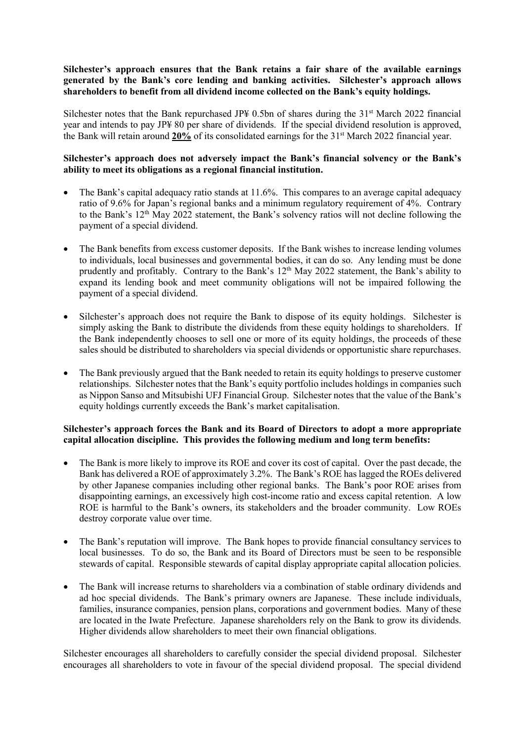### **Silchester's approach ensures that the Bank retains a fair share of the available earnings generated by the Bank's core lending and banking activities. Silchester's approach allows shareholders to benefit from all dividend income collected on the Bank's equity holdings.**

Silchester notes that the Bank repurchased JP\\$ 0.5bn of shares during the  $31<sup>st</sup>$  March 2022 financial year and intends to pay JP¥ 80 per share of dividends. If the special dividend resolution is approved, the Bank will retain around **20%** of its consolidated earnings for the 31st March 2022 financial year.

### **Silchester's approach does not adversely impact the Bank's financial solvency or the Bank's ability to meet its obligations as a regional financial institution.**

- The Bank's capital adequacy ratio stands at  $11.6\%$ . This compares to an average capital adequacy ratio of 9.6% for Japan's regional banks and a minimum regulatory requirement of 4%. Contrary to the Bank's 12<sup>th</sup> May 2022 statement, the Bank's solvency ratios will not decline following the payment of a special dividend.
- The Bank benefits from excess customer deposits. If the Bank wishes to increase lending volumes to individuals, local businesses and governmental bodies, it can do so. Any lending must be done prudently and profitably. Contrary to the Bank's 12<sup>th</sup> May 2022 statement, the Bank's ability to expand its lending book and meet community obligations will not be impaired following the payment of a special dividend.
- Silchester's approach does not require the Bank to dispose of its equity holdings. Silchester is simply asking the Bank to distribute the dividends from these equity holdings to shareholders. If the Bank independently chooses to sell one or more of its equity holdings, the proceeds of these sales should be distributed to shareholders via special dividends or opportunistic share repurchases.
- The Bank previously argued that the Bank needed to retain its equity holdings to preserve customer relationships. Silchester notes that the Bank's equity portfolio includes holdings in companies such as Nippon Sanso and Mitsubishi UFJ Financial Group. Silchester notes that the value of the Bank's equity holdings currently exceeds the Bank's market capitalisation.

### **Silchester's approach forces the Bank and its Board of Directors to adopt a more appropriate capital allocation discipline. This provides the following medium and long term benefits:**

- The Bank is more likely to improve its ROE and cover its cost of capital. Over the past decade, the Bank has delivered a ROE of approximately 3.2%. The Bank's ROE has lagged the ROEs delivered by other Japanese companies including other regional banks. The Bank's poor ROE arises from disappointing earnings, an excessively high cost-income ratio and excess capital retention. A low ROE is harmful to the Bank's owners, its stakeholders and the broader community. Low ROEs destroy corporate value over time.
- The Bank's reputation will improve. The Bank hopes to provide financial consultancy services to local businesses. To do so, the Bank and its Board of Directors must be seen to be responsible stewards of capital. Responsible stewards of capital display appropriate capital allocation policies.
- The Bank will increase returns to shareholders via a combination of stable ordinary dividends and ad hoc special dividends. The Bank's primary owners are Japanese. These include individuals, families, insurance companies, pension plans, corporations and government bodies. Many of these are located in the Iwate Prefecture. Japanese shareholders rely on the Bank to grow its dividends. Higher dividends allow shareholders to meet their own financial obligations.

Silchester encourages all shareholders to carefully consider the special dividend proposal. Silchester encourages all shareholders to vote in favour of the special dividend proposal. The special dividend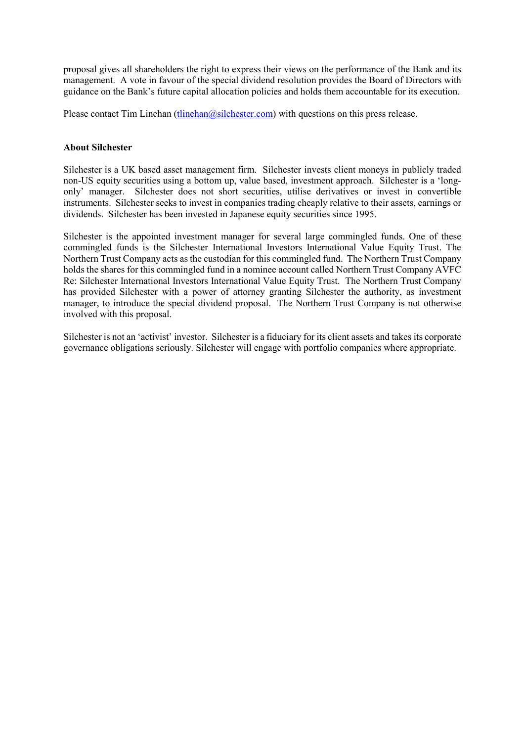proposal gives all shareholders the right to express their views on the performance of the Bank and its management. A vote in favour of the special dividend resolution provides the Board of Directors with guidance on the Bank's future capital allocation policies and holds them accountable for its execution.

Please contact Tim Linehan (tlinehan $@silehester.com$ ) with questions on this press release.

### **About Silchester**

Silchester is a UK based asset management firm. Silchester invests client moneys in publicly traded non-US equity securities using a bottom up, value based, investment approach. Silchester is a 'longonly' manager. Silchester does not short securities, utilise derivatives or invest in convertible instruments. Silchester seeks to invest in companies trading cheaply relative to their assets, earnings or dividends. Silchester has been invested in Japanese equity securities since 1995.

Silchester is the appointed investment manager for several large commingled funds. One of these commingled funds is the Silchester International Investors International Value Equity Trust. The Northern Trust Company acts as the custodian for this commingled fund. The Northern Trust Company holds the shares for this commingled fund in a nominee account called Northern Trust Company AVFC Re: Silchester International Investors International Value Equity Trust. The Northern Trust Company has provided Silchester with a power of attorney granting Silchester the authority, as investment manager, to introduce the special dividend proposal. The Northern Trust Company is not otherwise involved with this proposal.

Silchester is not an 'activist' investor. Silchester is a fiduciary for its client assets and takes its corporate governance obligations seriously. Silchester will engage with portfolio companies where appropriate.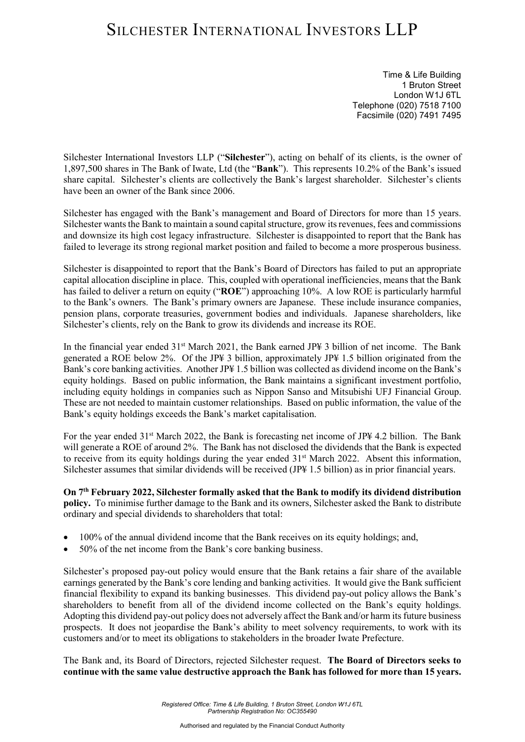# SILCHESTER INTERNATIONAL INVESTORS LLP

Time & Life Building 1 Bruton Street London W1J 6TL Telephone (020) 7518 7100 Facsimile (020) 7491 7495

Silchester International Investors LLP ("**Silchester**"), acting on behalf of its clients, is the owner of 1,897,500 shares in The Bank of Iwate, Ltd (the "**Bank**"). This represents 10.2% of the Bank's issued share capital. Silchester's clients are collectively the Bank's largest shareholder. Silchester's clients have been an owner of the Bank since 2006.

Silchester has engaged with the Bank's management and Board of Directors for more than 15 years. Silchester wants the Bank to maintain a sound capital structure, grow its revenues, fees and commissions and downsize its high cost legacy infrastructure. Silchester is disappointed to report that the Bank has failed to leverage its strong regional market position and failed to become a more prosperous business.

Silchester is disappointed to report that the Bank's Board of Directors has failed to put an appropriate capital allocation discipline in place. This, coupled with operational inefficiencies, means that the Bank has failed to deliver a return on equity ("**ROE**") approaching 10%. A low ROE is particularly harmful to the Bank's owners. The Bank's primary owners are Japanese. These include insurance companies, pension plans, corporate treasuries, government bodies and individuals. Japanese shareholders, like Silchester's clients, rely on the Bank to grow its dividends and increase its ROE.

In the financial year ended 31<sup>st</sup> March 2021, the Bank earned JP¥ 3 billion of net income. The Bank generated a ROE below 2%. Of the JP¥ 3 billion, approximately JP¥ 1.5 billion originated from the Bank's core banking activities. Another JP¥ 1.5 billion was collected as dividend income on the Bank's equity holdings. Based on public information, the Bank maintains a significant investment portfolio, including equity holdings in companies such as Nippon Sanso and Mitsubishi UFJ Financial Group. These are not needed to maintain customer relationships. Based on public information, the value of the Bank's equity holdings exceeds the Bank's market capitalisation.

For the year ended  $31<sup>st</sup>$  March 2022, the Bank is forecasting net income of JP\# 4.2 billion. The Bank will generate a ROE of around 2%. The Bank has not disclosed the dividends that the Bank is expected to receive from its equity holdings during the year ended 31<sup>st</sup> March 2022. Absent this information, Silchester assumes that similar dividends will be received (JP¥ 1.5 billion) as in prior financial years.

**On 7th February 2022, Silchester formally asked that the Bank to modify its dividend distribution policy.** To minimise further damage to the Bank and its owners, Silchester asked the Bank to distribute ordinary and special dividends to shareholders that total:

- 100% of the annual dividend income that the Bank receives on its equity holdings; and,
- 50% of the net income from the Bank's core banking business.

Silchester's proposed pay-out policy would ensure that the Bank retains a fair share of the available earnings generated by the Bank's core lending and banking activities. It would give the Bank sufficient financial flexibility to expand its banking businesses. This dividend pay-out policy allows the Bank's shareholders to benefit from all of the dividend income collected on the Bank's equity holdings. Adopting this dividend pay-out policy does not adversely affect the Bank and/or harm its future business prospects. It does not jeopardise the Bank's ability to meet solvency requirements, to work with its customers and/or to meet its obligations to stakeholders in the broader Iwate Prefecture.

The Bank and, its Board of Directors, rejected Silchester request. **The Board of Directors seeks to continue with the same value destructive approach the Bank has followed for more than 15 years.**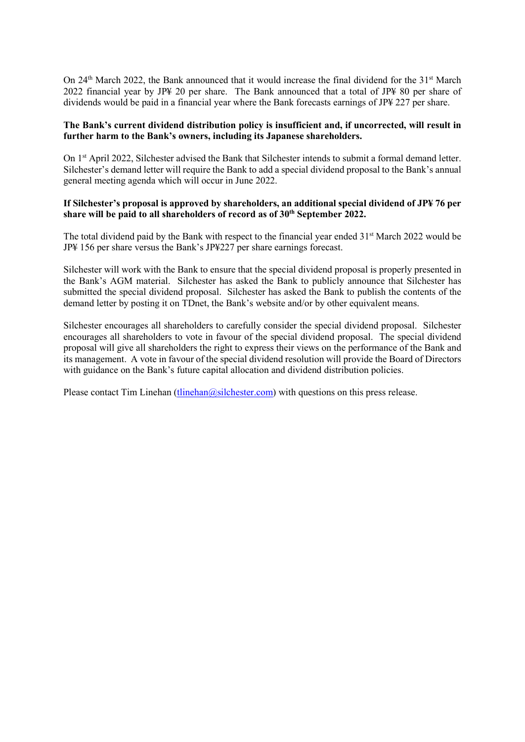On 24<sup>th</sup> March 2022, the Bank announced that it would increase the final dividend for the 31<sup>st</sup> March 2022 financial year by JP¥ 20 per share. The Bank announced that a total of JP¥ 80 per share of dividends would be paid in a financial year where the Bank forecasts earnings of JP¥ 227 per share.

### **The Bank's current dividend distribution policy is insufficient and, if uncorrected, will result in further harm to the Bank's owners, including its Japanese shareholders.**

On 1st April 2022, Silchester advised the Bank that Silchester intends to submit a formal demand letter. Silchester's demand letter will require the Bank to add a special dividend proposal to the Bank's annual general meeting agenda which will occur in June 2022.

#### **If Silchester's proposal is approved by shareholders, an additional special dividend of JP¥ 76 per**  share will be paid to all shareholders of record as of  $30<sup>th</sup>$  September 2022.

The total dividend paid by the Bank with respect to the financial year ended 31<sup>st</sup> March 2022 would be JP¥ 156 per share versus the Bank's JP¥227 per share earnings forecast.

Silchester will work with the Bank to ensure that the special dividend proposal is properly presented in the Bank's AGM material. Silchester has asked the Bank to publicly announce that Silchester has submitted the special dividend proposal. Silchester has asked the Bank to publish the contents of the demand letter by posting it on TDnet, the Bank's website and/or by other equivalent means.

Silchester encourages all shareholders to carefully consider the special dividend proposal. Silchester encourages all shareholders to vote in favour of the special dividend proposal. The special dividend proposal will give all shareholders the right to express their views on the performance of the Bank and its management. A vote in favour of the special dividend resolution will provide the Board of Directors with guidance on the Bank's future capital allocation and dividend distribution policies.

Please contact Tim Linehan (tlinehan  $\omega$ silchester.com) with questions on this press release.